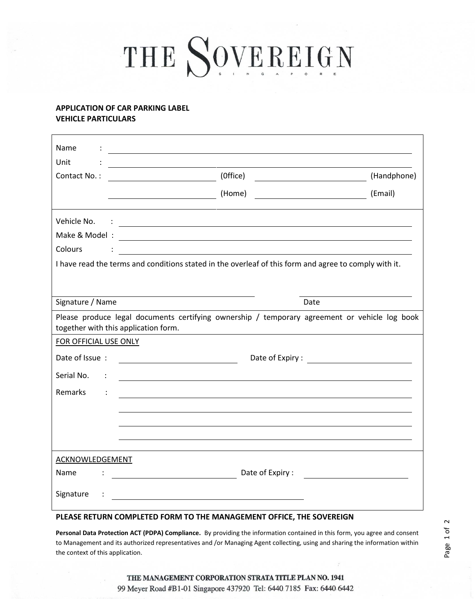# THE SOVEREIGN

## **APPLICATION OF CAR PARKING LABEL VEHICLE PARTICULARS**

| Name<br>Unit                                                                                                                          |                                                                                                                                                                                                                                                                                                                                                                          |             |
|---------------------------------------------------------------------------------------------------------------------------------------|--------------------------------------------------------------------------------------------------------------------------------------------------------------------------------------------------------------------------------------------------------------------------------------------------------------------------------------------------------------------------|-------------|
| Contact No.:                                                                                                                          | <u> 1989 - Johann Stein, marwolaethau a bhann an t-Amhair ann an t-Amhair an t-Amhair an t-Amhair an t-Amhair an</u><br>(Office)<br><u>and the state of the state of the state of the state of the state of the state of the state of the state of the state of the state of the state of the state of the state of the state of the state of the state of the state</u> | (Handphone) |
|                                                                                                                                       | (Home)<br>$\overline{\phantom{a}}$ . The contract of $\overline{\phantom{a}}$                                                                                                                                                                                                                                                                                            | (Email)     |
| Vehicle No.<br>Colours                                                                                                                | <u>in the community of the community of the community of the community of the community of the community of the co</u><br><u> 1989 - Johann Stein, mars an de Brazilia (b. 1989)</u><br>I have read the terms and conditions stated in the overleaf of this form and agree to comply with it.                                                                            |             |
| Signature / Name                                                                                                                      | Date                                                                                                                                                                                                                                                                                                                                                                     |             |
| Please produce legal documents certifying ownership / temporary agreement or vehicle log book<br>together with this application form. |                                                                                                                                                                                                                                                                                                                                                                          |             |
| FOR OFFICIAL USE ONLY                                                                                                                 |                                                                                                                                                                                                                                                                                                                                                                          |             |
| Date of Issue:<br>Serial No.<br><b>Remarks</b>                                                                                        |                                                                                                                                                                                                                                                                                                                                                                          |             |
|                                                                                                                                       |                                                                                                                                                                                                                                                                                                                                                                          |             |
| ACKNOWLEDGEMENT                                                                                                                       |                                                                                                                                                                                                                                                                                                                                                                          |             |
| Name                                                                                                                                  |                                                                                                                                                                                                                                                                                                                                                                          |             |
| Signature                                                                                                                             |                                                                                                                                                                                                                                                                                                                                                                          |             |
| PLEASE RETURN COMPLETED FORM TO THE MANAGEMENT OFFICE, THE SOVEREIGN                                                                  |                                                                                                                                                                                                                                                                                                                                                                          |             |

**Personal Data Protection ACT (PDPA) Compliance.** By providing the information contained in this form, you agree and consent to Management and its authorized representatives and /or Managing Agent collecting, using and sharing the information within the context of this application.

Page 1 of 2